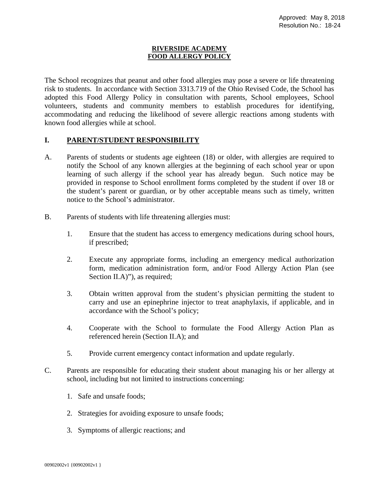## **RIVERSIDE ACADEMY FOOD ALLERGY POLICY**

The School recognizes that peanut and other food allergies may pose a severe or life threatening risk to students. In accordance with Section 3313.719 of the Ohio Revised Code, the School has adopted this Food Allergy Policy in consultation with parents, School employees, School volunteers, students and community members to establish procedures for identifying, accommodating and reducing the likelihood of severe allergic reactions among students with known food allergies while at school.

## **I. PARENT/STUDENT RESPONSIBILITY**

- A. Parents of students or students age eighteen (18) or older, with allergies are required to notify the School of any known allergies at the beginning of each school year or upon learning of such allergy if the school year has already begun. Such notice may be provided in response to School enrollment forms completed by the student if over 18 or the student's parent or guardian, or by other acceptable means such as timely, written notice to the School's administrator.
- B. Parents of students with life threatening allergies must:
	- 1. Ensure that the student has access to emergency medications during school hours, if prescribed;
	- 2. Execute any appropriate forms, including an emergency medical authorization form, medication administration form, and/or Food Allergy Action Plan (see Section II.A)"), as required;
	- 3. Obtain written approval from the student's physician permitting the student to carry and use an epinephrine injector to treat anaphylaxis, if applicable, and in accordance with the School's policy;
	- 4. Cooperate with the School to formulate the Food Allergy Action Plan as referenced herein (Section II.A); and
	- 5. Provide current emergency contact information and update regularly.
- C. Parents are responsible for educating their student about managing his or her allergy at school, including but not limited to instructions concerning:
	- 1. Safe and unsafe foods;
	- 2. Strategies for avoiding exposure to unsafe foods;
	- 3. Symptoms of allergic reactions; and